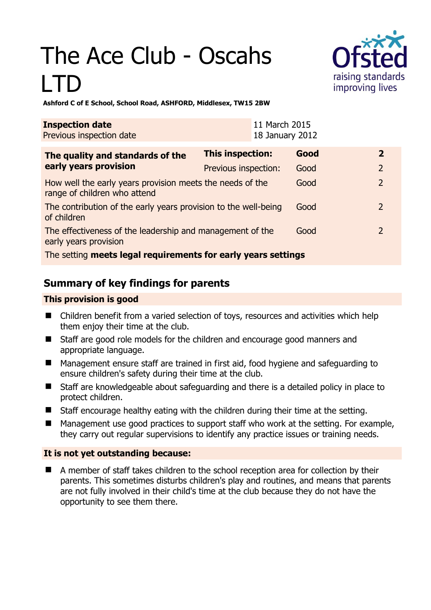# The Ace Club - Oscahs LTD



**Ashford C of E School, School Road, ASHFORD, Middlesex, TW15 2BW** 

| <b>Inspection date</b><br>Previous inspection date                                        |                      | 11 March 2015<br>18 January 2012 |      |                |
|-------------------------------------------------------------------------------------------|----------------------|----------------------------------|------|----------------|
| The quality and standards of the<br>early years provision                                 | This inspection:     |                                  | Good | $\mathbf{2}$   |
|                                                                                           | Previous inspection: |                                  | Good | $\overline{2}$ |
| How well the early years provision meets the needs of the<br>range of children who attend |                      |                                  | Good | $\overline{2}$ |
| The contribution of the early years provision to the well-being<br>of children            |                      |                                  | Good | $\overline{2}$ |
| The effectiveness of the leadership and management of the<br>early years provision        |                      |                                  | Good | $\mathcal{P}$  |
| The setting meets legal requirements for early years settings                             |                      |                                  |      |                |

# **Summary of key findings for parents**

## **This provision is good**

- Children benefit from a varied selection of toys, resources and activities which help them enjoy their time at the club.
- Staff are good role models for the children and encourage good manners and appropriate language.
- Management ensure staff are trained in first aid, food hygiene and safeguarding to ensure children's safety during their time at the club.
- Staff are knowledgeable about safeguarding and there is a detailed policy in place to protect children.
- Staff encourage healthy eating with the children during their time at the setting.
- Management use good practices to support staff who work at the setting. For example, they carry out regular supervisions to identify any practice issues or training needs.

## **It is not yet outstanding because:**

 A member of staff takes children to the school reception area for collection by their parents. This sometimes disturbs children's play and routines, and means that parents are not fully involved in their child's time at the club because they do not have the opportunity to see them there.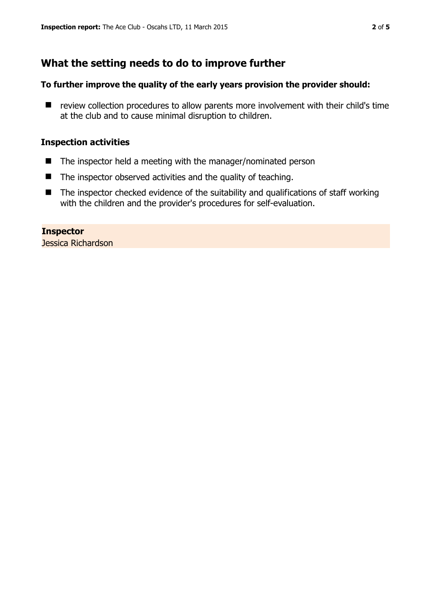# **What the setting needs to do to improve further**

#### **To further improve the quality of the early years provision the provider should:**

 $\blacksquare$  review collection procedures to allow parents more involvement with their child's time at the club and to cause minimal disruption to children.

#### **Inspection activities**

- $\blacksquare$  The inspector held a meeting with the manager/nominated person
- The inspector observed activities and the quality of teaching.
- The inspector checked evidence of the suitability and qualifications of staff working with the children and the provider's procedures for self-evaluation.

#### **Inspector**

Jessica Richardson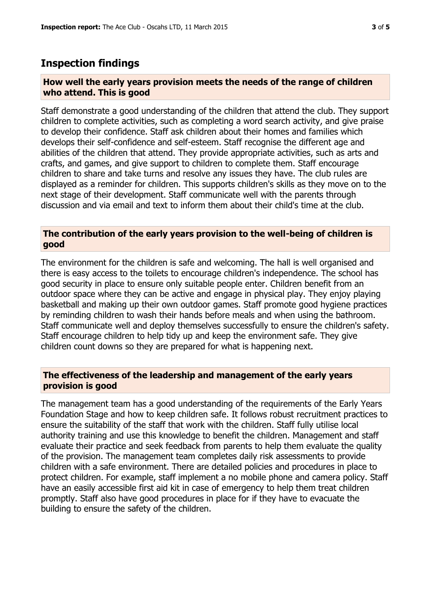## **Inspection findings**

#### **How well the early years provision meets the needs of the range of children who attend. This is good**

Staff demonstrate a good understanding of the children that attend the club. They support children to complete activities, such as completing a word search activity, and give praise to develop their confidence. Staff ask children about their homes and families which develops their self-confidence and self-esteem. Staff recognise the different age and abilities of the children that attend. They provide appropriate activities, such as arts and crafts, and games, and give support to children to complete them. Staff encourage children to share and take turns and resolve any issues they have. The club rules are displayed as a reminder for children. This supports children's skills as they move on to the next stage of their development. Staff communicate well with the parents through discussion and via email and text to inform them about their child's time at the club.

#### **The contribution of the early years provision to the well-being of children is good**

The environment for the children is safe and welcoming. The hall is well organised and there is easy access to the toilets to encourage children's independence. The school has good security in place to ensure only suitable people enter. Children benefit from an outdoor space where they can be active and engage in physical play. They enjoy playing basketball and making up their own outdoor games. Staff promote good hygiene practices by reminding children to wash their hands before meals and when using the bathroom. Staff communicate well and deploy themselves successfully to ensure the children's safety. Staff encourage children to help tidy up and keep the environment safe. They give children count downs so they are prepared for what is happening next.

#### **The effectiveness of the leadership and management of the early years provision is good**

The management team has a good understanding of the requirements of the Early Years Foundation Stage and how to keep children safe. It follows robust recruitment practices to ensure the suitability of the staff that work with the children. Staff fully utilise local authority training and use this knowledge to benefit the children. Management and staff evaluate their practice and seek feedback from parents to help them evaluate the quality of the provision. The management team completes daily risk assessments to provide children with a safe environment. There are detailed policies and procedures in place to protect children. For example, staff implement a no mobile phone and camera policy. Staff have an easily accessible first aid kit in case of emergency to help them treat children promptly. Staff also have good procedures in place for if they have to evacuate the building to ensure the safety of the children.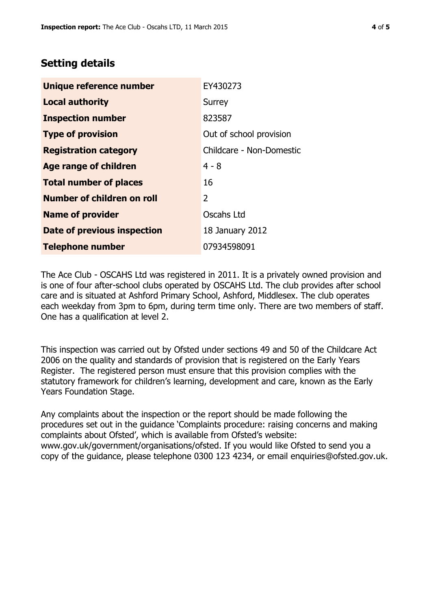# **Setting details**

| Unique reference number       | EY430273                 |  |  |
|-------------------------------|--------------------------|--|--|
| <b>Local authority</b>        | Surrey                   |  |  |
| <b>Inspection number</b>      | 823587                   |  |  |
| <b>Type of provision</b>      | Out of school provision  |  |  |
| <b>Registration category</b>  | Childcare - Non-Domestic |  |  |
| <b>Age range of children</b>  | $4 - 8$                  |  |  |
| <b>Total number of places</b> | 16                       |  |  |
| Number of children on roll    | 2                        |  |  |
| <b>Name of provider</b>       | Oscahs Ltd               |  |  |
| Date of previous inspection   | 18 January 2012          |  |  |
| <b>Telephone number</b>       | 07934598091              |  |  |

The Ace Club - OSCAHS Ltd was registered in 2011. It is a privately owned provision and is one of four after-school clubs operated by OSCAHS Ltd. The club provides after school care and is situated at Ashford Primary School, Ashford, Middlesex. The club operates each weekday from 3pm to 6pm, during term time only. There are two members of staff. One has a qualification at level 2.

This inspection was carried out by Ofsted under sections 49 and 50 of the Childcare Act 2006 on the quality and standards of provision that is registered on the Early Years Register. The registered person must ensure that this provision complies with the statutory framework for children's learning, development and care, known as the Early Years Foundation Stage.

Any complaints about the inspection or the report should be made following the procedures set out in the guidance 'Complaints procedure: raising concerns and making complaints about Ofsted', which is available from Ofsted's website: www.gov.uk/government/organisations/ofsted. If you would like Ofsted to send you a copy of the guidance, please telephone 0300 123 4234, or email enquiries@ofsted.gov.uk.